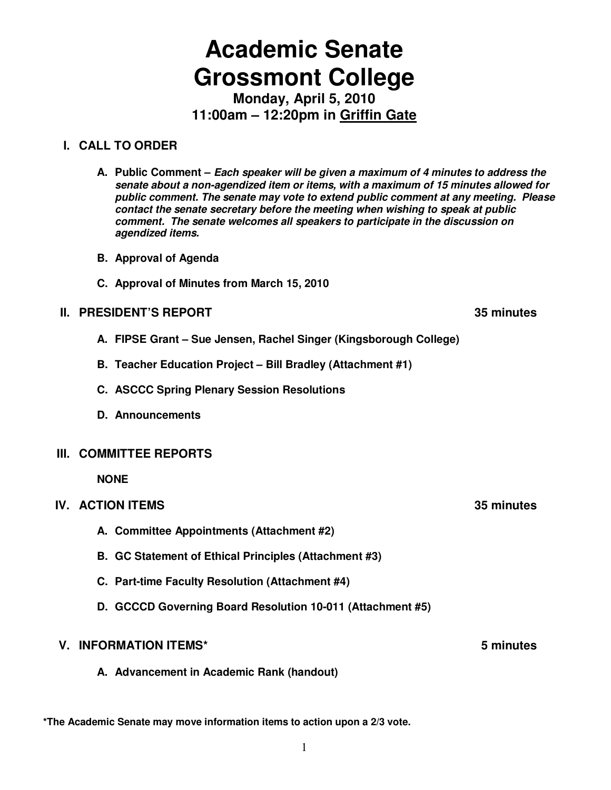# **Academic Senate Grossmont College**

**Monday, April 5, 2010 11:00am – 12:20pm in Griffin Gate**

# **I. CALL TO ORDER**

- **A. Public Comment Each speaker will be given a maximum of 4 minutes to address the senate about a non-agendized item or items, with a maximum of 15 minutes allowed for public comment. The senate may vote to extend public comment at any meeting. Please contact the senate secretary before the meeting when wishing to speak at public comment. The senate welcomes all speakers to participate in the discussion on agendized items.**
- **B. Approval of Agenda**
- **C. Approval of Minutes from March 15, 2010**

# **II. PRESIDENT'S REPORT 35 minutes**

- **A. FIPSE Grant Sue Jensen, Rachel Singer (Kingsborough College)**
- **B. Teacher Education Project Bill Bradley (Attachment #1)**
- **C. ASCCC Spring Plenary Session Resolutions**
- **D. Announcements**

#### **III. COMMITTEE REPORTS**

 **NONE** 

#### **IV. ACTION ITEMS 35 minutes**

- **A. Committee Appointments (Attachment #2)**
- **B. GC Statement of Ethical Principles (Attachment #3)**
- **C. Part-time Faculty Resolution (Attachment #4)**
- **D. GCCCD Governing Board Resolution 10-011 (Attachment #5)**

#### **V. INFORMATION ITEMS\* 5 minutes**

**A. Advancement in Academic Rank (handout)** 

**\*The Academic Senate may move information items to action upon a 2/3 vote.**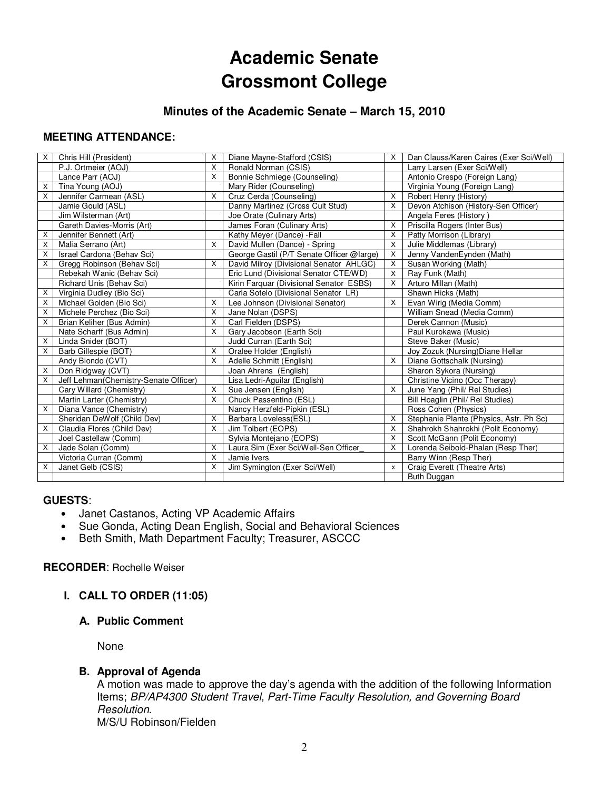# **Academic Senate Grossmont College**

# **Minutes of the Academic Senate – March 15, 2010**

### **MEETING ATTENDANCE:**

| X | Chris Hill (President)                | X        | Diane Mayne-Stafford (CSIS)               | $\times$     | Dan Clauss/Karen Caires (Exer Sci/Well) |
|---|---------------------------------------|----------|-------------------------------------------|--------------|-----------------------------------------|
|   | P.J. Ortmeier (AOJ)                   | X        | Ronald Norman (CSIS)                      |              | Larry Larsen (Exer Sci/Well)            |
|   | Lance Parr (AOJ)                      | $\times$ | Bonnie Schmiege (Counseling)              |              | Antonio Crespo (Foreign Lang)           |
| х | Tina Young (AOJ)                      |          | Mary Rider (Counseling)                   |              | Virginia Young (Foreign Lang)           |
| X | Jennifer Carmean (ASL)                | $\times$ | Cruz Cerda (Counseling)                   | X            | Robert Henry (History)                  |
|   | Jamie Gould (ASL)                     |          | Danny Martinez (Cross Cult Stud)          | X            | Devon Atchison (History-Sen Officer)    |
|   | Jim Wilsterman (Art)                  |          | Joe Orate (Culinary Arts)                 |              | Angela Feres (History)                  |
|   | Gareth Davies-Morris (Art)            |          | James Foran (Culinary Arts)               | X            | Priscilla Rogers (Inter Bus)            |
| X | Jennifer Bennett (Art)                |          | Kathy Meyer (Dance) - Fall                | X            | Patty Morrison (Library)                |
| X | Malia Serrano (Art)                   | X        | David Mullen (Dance) - Spring             | X            | Julie Middlemas (Library)               |
| X | Israel Cardona (Behav Sci)            |          | George Gastil (P/T Senate Officer @large) | X            | Jenny VandenEynden (Math)               |
| X | Gregg Robinson (Behav Sci)            | X        | David Milroy (Divisional Senator AHLGC)   | X            | Susan Working (Math)                    |
|   | Rebekah Wanic (Behav Sci)             |          | Eric Lund (Divisional Senator CTE/WD)     | $\times$     | Ray Funk (Math)                         |
|   | Richard Unis (Behav Sci)              |          | Kirin Farquar (Divisional Senator ESBS)   | Χ            | Arturo Millan (Math)                    |
| Χ | Virginia Dudley (Bio Sci)             |          | Carla Sotelo (Divisional Senator LR)      |              | Shawn Hicks (Math)                      |
| X | Michael Golden (Bio Sci)              | X        | Lee Johnson (Divisional Senator)          | X            | Evan Wirig (Media Comm)                 |
| X | Michele Perchez (Bio Sci)             | X        | Jane Nolan (DSPS)                         |              | William Snead (Media Comm)              |
| X | Brian Keliher (Bus Admin)             | $\times$ | Carl Fielden (DSPS)                       |              | Derek Cannon (Music)                    |
|   | Nate Scharff (Bus Admin)              | X        | Gary Jacobson (Earth Sci)                 |              | Paul Kurokawa (Music)                   |
| X | Linda Snider (BOT)                    |          | Judd Curran (Earth Sci)                   |              | Steve Baker (Music)                     |
| X | Barb Gillespie (BOT)                  | X        | Oralee Holder (English)                   |              | Joy Zozuk (Nursing) Diane Hellar        |
|   | Andy Biondo (CVT)                     | $\times$ | Adelle Schmitt (English)                  | X            | Diane Gottschalk (Nursing)              |
| X | Don Ridgway (CVT)                     |          | Joan Ahrens (English)                     |              | Sharon Sykora (Nursing)                 |
| X | Jeff Lehman(Chemistry-Senate Officer) |          | Lisa Ledri-Aguilar (English)              |              | Christine Vicino (Occ Therapy)          |
|   | Cary Willard (Chemistry)              | X        | Sue Jensen (English)                      | X            | June Yang (Phil/ Rel Studies)           |
|   | Martin Larter (Chemistry)             | $\times$ | Chuck Passentino (ESL)                    |              | Bill Hoaglin (Phil/ Rel Studies)        |
| X | Diana Vance (Chemistry)               |          | Nancy Herzfeld-Pipkin (ESL)               |              | Ross Cohen (Physics)                    |
|   | Sheridan DeWolf (Child Dev)           | X        | Barbara Loveless(ESL)                     | X            | Stephanie Plante (Physics, Astr. Ph Sc) |
| X | Claudia Flores (Child Dev)            | X        | Jim Tolbert (EOPS)                        | X            | Shahrokh Shahrokhi (Polit Economy)      |
|   | Joel Castellaw (Comm)                 |          | Sylvia Montejano (EOPS)                   | X            | Scott McGann (Polit Economy)            |
| X | Jade Solan (Comm)                     | X        | Laura Sim (Exer Sci/Well-Sen Officer      | X            | Lorenda Seibold-Phalan (Resp Ther)      |
|   | Victoria Curran (Comm)                | X        | Jamie Ivers                               |              | Barry Winn (Resp Ther)                  |
| X | Janet Gelb (CSIS)                     | $\times$ | Jim Symington (Exer Sci/Well)             | $\mathsf{x}$ | Craig Everett (Theatre Arts)            |
|   |                                       |          |                                           |              | Buth Duggan                             |

#### **GUESTS**:

- Janet Castanos, Acting VP Academic Affairs
- Sue Gonda, Acting Dean English, Social and Behavioral Sciences
- Beth Smith, Math Department Faculty; Treasurer, ASCCC

#### **RECORDER**: Rochelle Weiser

#### **I. CALL TO ORDER (11:05)**

#### **A. Public Comment**

None

#### **B. Approval of Agenda**

A motion was made to approve the day's agenda with the addition of the following Information Items; BP/AP4300 Student Travel, Part-Time Faculty Resolution, and Governing Board Resolution. M/S/U Robinson/Fielden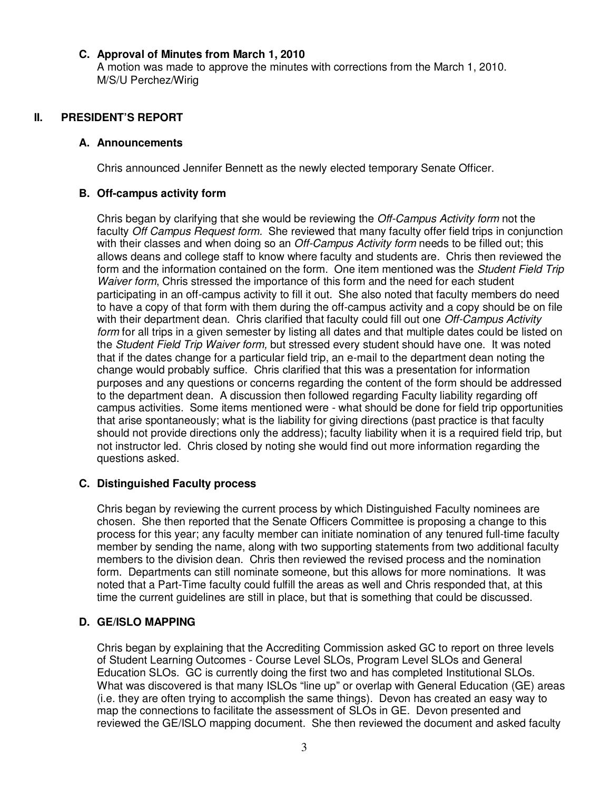#### **C. Approval of Minutes from March 1, 2010**

A motion was made to approve the minutes with corrections from the March 1, 2010. M/S/U Perchez/Wirig

### **II. PRESIDENT'S REPORT**

#### **A. Announcements**

Chris announced Jennifer Bennett as the newly elected temporary Senate Officer.

#### **B. Off-campus activity form**

Chris began by clarifying that she would be reviewing the Off-Campus Activity form not the faculty Off Campus Request form. She reviewed that many faculty offer field trips in conjunction with their classes and when doing so an *Off-Campus Activity form* needs to be filled out; this allows deans and college staff to know where faculty and students are. Chris then reviewed the form and the information contained on the form. One item mentioned was the Student Field Trip Waiver form, Chris stressed the importance of this form and the need for each student participating in an off-campus activity to fill it out. She also noted that faculty members do need to have a copy of that form with them during the off-campus activity and a copy should be on file with their department dean. Chris clarified that faculty could fill out one Off-Campus Activity form for all trips in a given semester by listing all dates and that multiple dates could be listed on the Student Field Trip Waiver form, but stressed every student should have one. It was noted that if the dates change for a particular field trip, an e-mail to the department dean noting the change would probably suffice. Chris clarified that this was a presentation for information purposes and any questions or concerns regarding the content of the form should be addressed to the department dean. A discussion then followed regarding Faculty liability regarding off campus activities. Some items mentioned were - what should be done for field trip opportunities that arise spontaneously; what is the liability for giving directions (past practice is that faculty should not provide directions only the address); faculty liability when it is a required field trip, but not instructor led. Chris closed by noting she would find out more information regarding the questions asked.

#### **C. Distinguished Faculty process**

Chris began by reviewing the current process by which Distinguished Faculty nominees are chosen. She then reported that the Senate Officers Committee is proposing a change to this process for this year; any faculty member can initiate nomination of any tenured full-time faculty member by sending the name, along with two supporting statements from two additional faculty members to the division dean. Chris then reviewed the revised process and the nomination form. Departments can still nominate someone, but this allows for more nominations. It was noted that a Part-Time faculty could fulfill the areas as well and Chris responded that, at this time the current guidelines are still in place, but that is something that could be discussed.

# **D. GE/ISLO MAPPING**

Chris began by explaining that the Accrediting Commission asked GC to report on three levels of Student Learning Outcomes - Course Level SLOs, Program Level SLOs and General Education SLOs. GC is currently doing the first two and has completed Institutional SLOs. What was discovered is that many ISLOs "line up" or overlap with General Education (GE) areas (i.e. they are often trying to accomplish the same things). Devon has created an easy way to map the connections to facilitate the assessment of SLOs in GE. Devon presented and reviewed the GE/ISLO mapping document. She then reviewed the document and asked faculty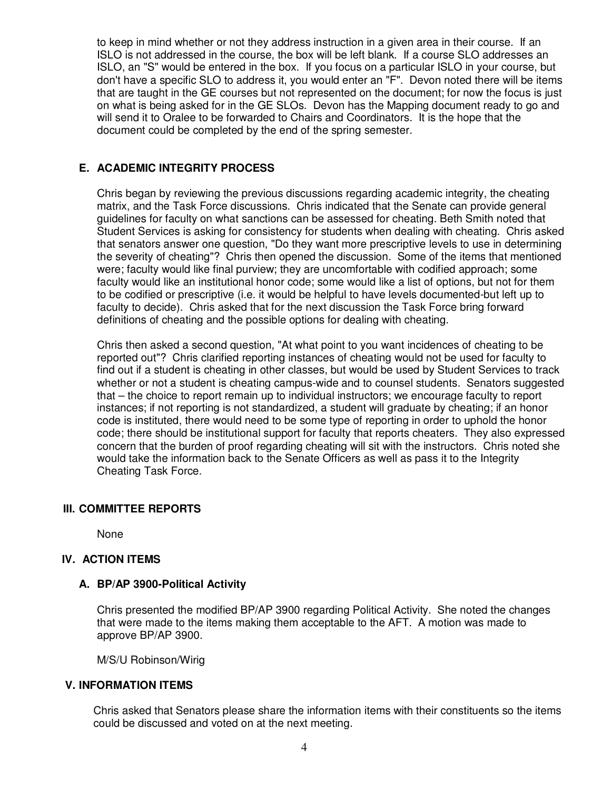to keep in mind whether or not they address instruction in a given area in their course. If an ISLO is not addressed in the course, the box will be left blank. If a course SLO addresses an ISLO, an "S" would be entered in the box. If you focus on a particular ISLO in your course, but don't have a specific SLO to address it, you would enter an "F". Devon noted there will be items that are taught in the GE courses but not represented on the document; for now the focus is just on what is being asked for in the GE SLOs. Devon has the Mapping document ready to go and will send it to Oralee to be forwarded to Chairs and Coordinators. It is the hope that the document could be completed by the end of the spring semester.

# **E. ACADEMIC INTEGRITY PROCESS**

Chris began by reviewing the previous discussions regarding academic integrity, the cheating matrix, and the Task Force discussions. Chris indicated that the Senate can provide general guidelines for faculty on what sanctions can be assessed for cheating. Beth Smith noted that Student Services is asking for consistency for students when dealing with cheating. Chris asked that senators answer one question, "Do they want more prescriptive levels to use in determining the severity of cheating"? Chris then opened the discussion. Some of the items that mentioned were; faculty would like final purview; they are uncomfortable with codified approach; some faculty would like an institutional honor code; some would like a list of options, but not for them to be codified or prescriptive (i.e. it would be helpful to have levels documented-but left up to faculty to decide). Chris asked that for the next discussion the Task Force bring forward definitions of cheating and the possible options for dealing with cheating.

Chris then asked a second question, "At what point to you want incidences of cheating to be reported out"? Chris clarified reporting instances of cheating would not be used for faculty to find out if a student is cheating in other classes, but would be used by Student Services to track whether or not a student is cheating campus-wide and to counsel students. Senators suggested that – the choice to report remain up to individual instructors; we encourage faculty to report instances; if not reporting is not standardized, a student will graduate by cheating; if an honor code is instituted, there would need to be some type of reporting in order to uphold the honor code; there should be institutional support for faculty that reports cheaters. They also expressed concern that the burden of proof regarding cheating will sit with the instructors. Chris noted she would take the information back to the Senate Officers as well as pass it to the Integrity Cheating Task Force.

# **III. COMMITTEE REPORTS**

None

# **IV. ACTION ITEMS**

# **A. BP/AP 3900-Political Activity**

Chris presented the modified BP/AP 3900 regarding Political Activity. She noted the changes that were made to the items making them acceptable to the AFT. A motion was made to approve BP/AP 3900.

M/S/U Robinson/Wirig

#### **V. INFORMATION ITEMS**

Chris asked that Senators please share the information items with their constituents so the items could be discussed and voted on at the next meeting.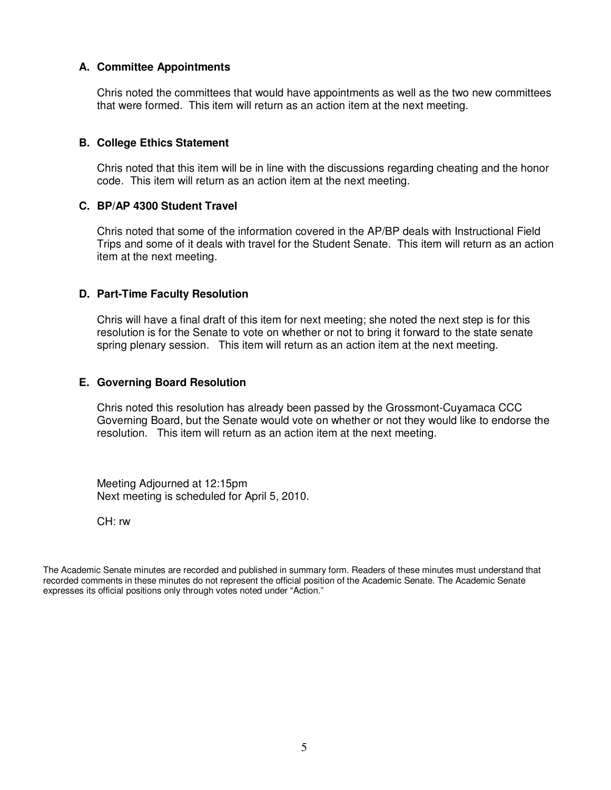#### **A. Committee Appointments**

Chris noted the committees that would have appointments as well as the two new committees that were formed. This item will return as an action item at the next meeting.

#### **B. College Ethics Statement**

Chris noted that this item will be in line with the discussions regarding cheating and the honor code. This item will return as an action item at the next meeting.

#### **C. BP/AP 4300 Student Travel**

Chris noted that some of the information covered in the AP/BP deals with Instructional Field Trips and some of it deals with travel for the Student Senate. This item will return as an action item at the next meeting.

#### **D. Part-Time Faculty Resolution**

Chris will have a final draft of this item for next meeting; she noted the next step is for this resolution is for the Senate to vote on whether or not to bring it forward to the state senate spring plenary session. This item will return as an action item at the next meeting.

#### **E. Governing Board Resolution**

Chris noted this resolution has already been passed by the Grossmont-Cuyamaca CCC Governing Board, but the Senate would vote on whether or not they would like to endorse the resolution. This item will return as an action item at the next meeting.

Meeting Adjourned at 12:15pm Next meeting is scheduled for April 5, 2010.

CH: rw

The Academic Senate minutes are recorded and published in summary form. Readers of these minutes must understand that recorded comments in these minutes do not represent the official position of the Academic Senate. The Academic Senate expresses its official positions only through votes noted under "Action."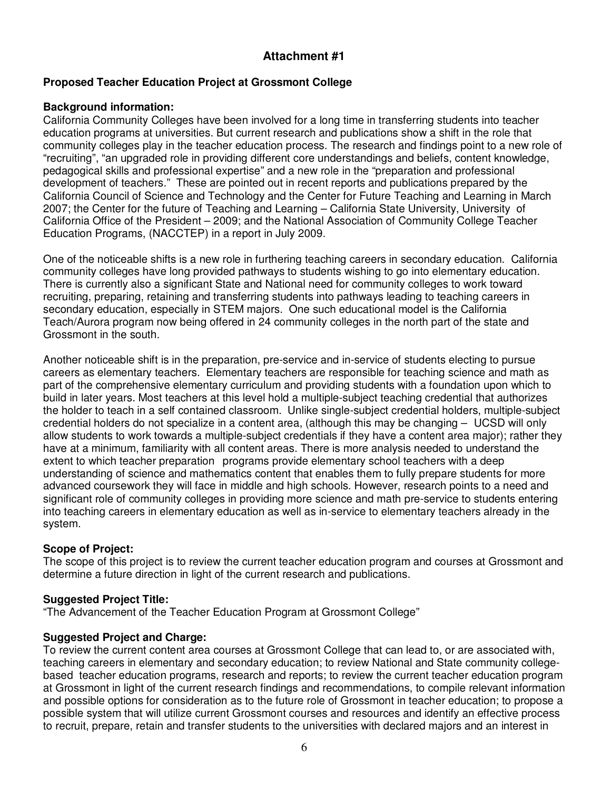# **Proposed Teacher Education Project at Grossmont College**

# **Background information:**

California Community Colleges have been involved for a long time in transferring students into teacher education programs at universities. But current research and publications show a shift in the role that community colleges play in the teacher education process. The research and findings point to a new role of "recruiting", "an upgraded role in providing different core understandings and beliefs, content knowledge, pedagogical skills and professional expertise" and a new role in the "preparation and professional development of teachers." These are pointed out in recent reports and publications prepared by the California Council of Science and Technology and the Center for Future Teaching and Learning in March 2007; the Center for the future of Teaching and Learning – California State University, University of California Office of the President – 2009; and the National Association of Community College Teacher Education Programs, (NACCTEP) in a report in July 2009.

One of the noticeable shifts is a new role in furthering teaching careers in secondary education. California community colleges have long provided pathways to students wishing to go into elementary education. There is currently also a significant State and National need for community colleges to work toward recruiting, preparing, retaining and transferring students into pathways leading to teaching careers in secondary education, especially in STEM majors. One such educational model is the California Teach/Aurora program now being offered in 24 community colleges in the north part of the state and Grossmont in the south.

Another noticeable shift is in the preparation, pre-service and in-service of students electing to pursue careers as elementary teachers. Elementary teachers are responsible for teaching science and math as part of the comprehensive elementary curriculum and providing students with a foundation upon which to build in later years. Most teachers at this level hold a multiple-subject teaching credential that authorizes the holder to teach in a self contained classroom. Unlike single-subject credential holders, multiple-subject credential holders do not specialize in a content area, (although this may be changing – UCSD will only allow students to work towards a multiple-subject credentials if they have a content area major); rather they have at a minimum, familiarity with all content areas. There is more analysis needed to understand the extent to which teacher preparation programs provide elementary school teachers with a deep understanding of science and mathematics content that enables them to fully prepare students for more advanced coursework they will face in middle and high schools. However, research points to a need and significant role of community colleges in providing more science and math pre-service to students entering into teaching careers in elementary education as well as in-service to elementary teachers already in the system.

# **Scope of Project:**

The scope of this project is to review the current teacher education program and courses at Grossmont and determine a future direction in light of the current research and publications.

# **Suggested Project Title:**

"The Advancement of the Teacher Education Program at Grossmont College"

# **Suggested Project and Charge:**

To review the current content area courses at Grossmont College that can lead to, or are associated with, teaching careers in elementary and secondary education; to review National and State community collegebased teacher education programs, research and reports; to review the current teacher education program at Grossmont in light of the current research findings and recommendations, to compile relevant information and possible options for consideration as to the future role of Grossmont in teacher education; to propose a possible system that will utilize current Grossmont courses and resources and identify an effective process to recruit, prepare, retain and transfer students to the universities with declared majors and an interest in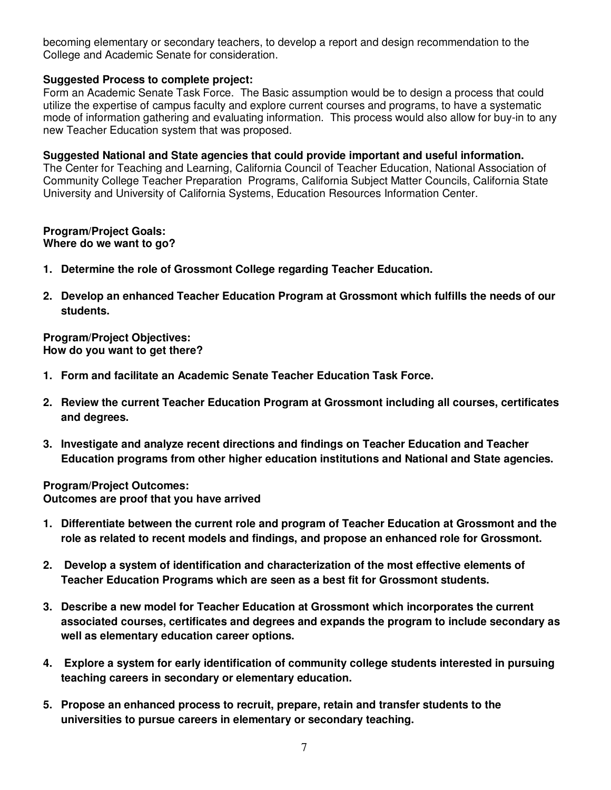becoming elementary or secondary teachers, to develop a report and design recommendation to the College and Academic Senate for consideration.

# **Suggested Process to complete project:**

Form an Academic Senate Task Force. The Basic assumption would be to design a process that could utilize the expertise of campus faculty and explore current courses and programs, to have a systematic mode of information gathering and evaluating information. This process would also allow for buy-in to any new Teacher Education system that was proposed.

#### **Suggested National and State agencies that could provide important and useful information.**

The Center for Teaching and Learning, California Council of Teacher Education, National Association of Community College Teacher Preparation Programs, California Subject Matter Councils, California State University and University of California Systems, Education Resources Information Center.

#### **Program/Project Goals: Where do we want to go?**

- **1. Determine the role of Grossmont College regarding Teacher Education.**
- **2. Develop an enhanced Teacher Education Program at Grossmont which fulfills the needs of our students.**

**Program/Project Objectives: How do you want to get there?** 

- **1. Form and facilitate an Academic Senate Teacher Education Task Force.**
- **2. Review the current Teacher Education Program at Grossmont including all courses, certificates and degrees.**
- **3. Investigate and analyze recent directions and findings on Teacher Education and Teacher Education programs from other higher education institutions and National and State agencies.**

**Program/Project Outcomes: Outcomes are proof that you have arrived** 

- **1. Differentiate between the current role and program of Teacher Education at Grossmont and the role as related to recent models and findings, and propose an enhanced role for Grossmont.**
- **2. Develop a system of identification and characterization of the most effective elements of Teacher Education Programs which are seen as a best fit for Grossmont students.**
- **3. Describe a new model for Teacher Education at Grossmont which incorporates the current associated courses, certificates and degrees and expands the program to include secondary as well as elementary education career options.**
- **4. Explore a system for early identification of community college students interested in pursuing teaching careers in secondary or elementary education.**
- **5. Propose an enhanced process to recruit, prepare, retain and transfer students to the universities to pursue careers in elementary or secondary teaching.**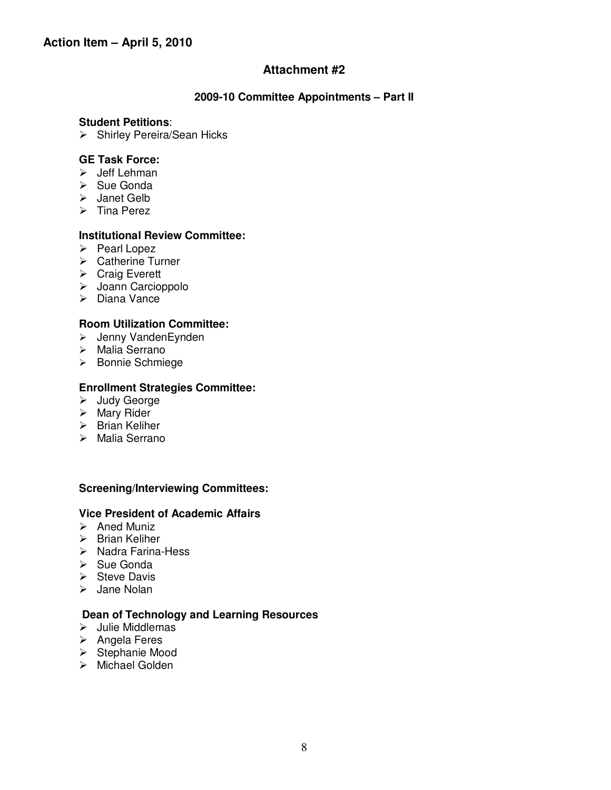#### **2009-10 Committee Appointments – Part II**

#### **Student Petitions**:

 $\triangleright$  Shirley Pereira/Sean Hicks

#### **GE Task Force:**

- $\triangleright$  Jeff Lehman
- $\triangleright$  Sue Gonda
- > Janet Gelb
- $\triangleright$  Tina Perez

#### **Institutional Review Committee:**

- $\triangleright$  Pearl Lopez
- **▶ Catherine Turner**
- **▶ Craig Everett**
- > Joann Carcioppolo
- $\triangleright$  Diana Vance

#### **Room Utilization Committee:**

- Jenny VandenEynden
- Malia Serrano
- Bonnie Schmiege

#### **Enrollment Strategies Committee:**

- Judy George
- $\triangleright$  Mary Rider
- $\triangleright$  Brian Keliher
- > Malia Serrano

#### **Screening/Interviewing Committees:**

#### **Vice President of Academic Affairs**

- $\triangleright$  Aned Muniz
- $\triangleright$  Brian Keliher
- $\triangleright$  Nadra Farina-Hess
- $\triangleright$  Sue Gonda
- $\triangleright$  Steve Davis
- $\triangleright$  Jane Nolan

### **Dean of Technology and Learning Resources**

- $\triangleright$  Julie Middlemas
- $\triangleright$  Angela Feres
- $\triangleright$  Stephanie Mood
- > Michael Golden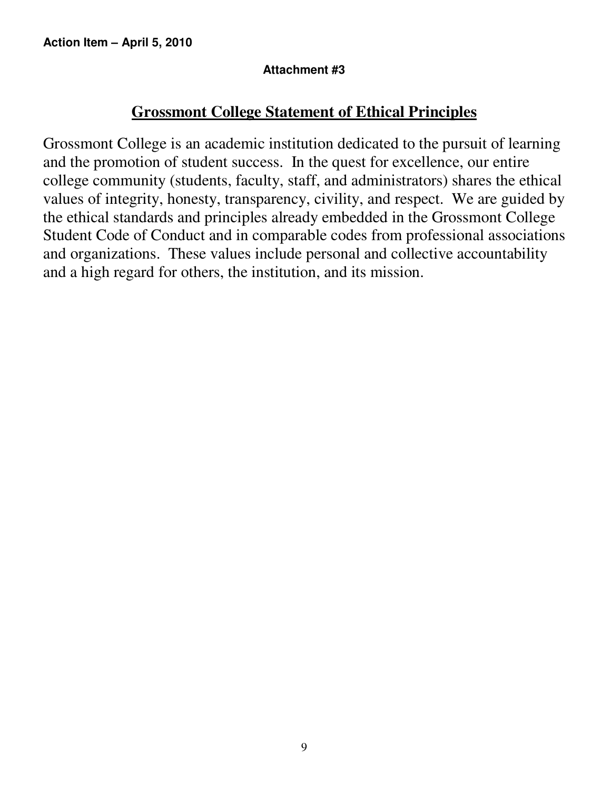# **Grossmont College Statement of Ethical Principles**

Grossmont College is an academic institution dedicated to the pursuit of learning and the promotion of student success. In the quest for excellence, our entire college community (students, faculty, staff, and administrators) shares the ethical values of integrity, honesty, transparency, civility, and respect. We are guided by the ethical standards and principles already embedded in the Grossmont College Student Code of Conduct and in comparable codes from professional associations and organizations. These values include personal and collective accountability and a high regard for others, the institution, and its mission.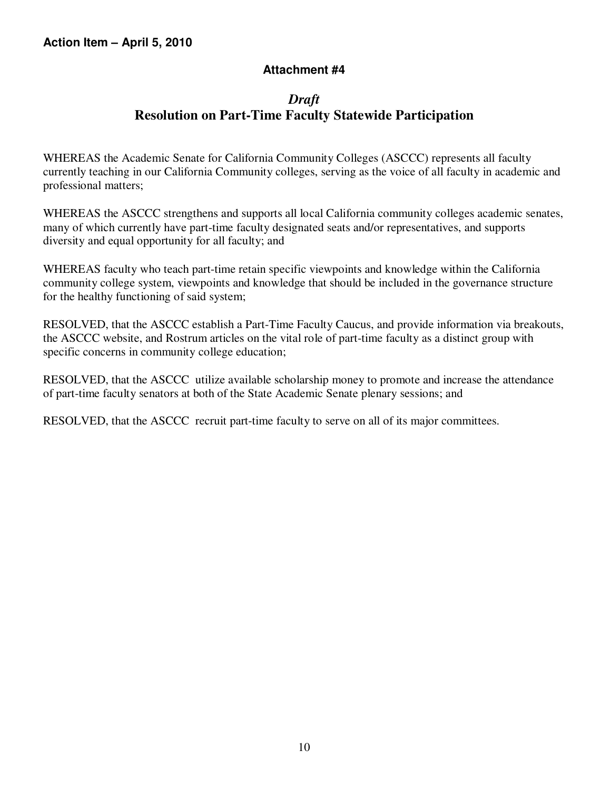# *Draft*  **Resolution on Part-Time Faculty Statewide Participation**

WHEREAS the Academic Senate for California Community Colleges (ASCCC) represents all faculty currently teaching in our California Community colleges, serving as the voice of all faculty in academic and professional matters;

WHEREAS the ASCCC strengthens and supports all local California community colleges academic senates, many of which currently have part-time faculty designated seats and/or representatives, and supports diversity and equal opportunity for all faculty; and

WHEREAS faculty who teach part-time retain specific viewpoints and knowledge within the California community college system, viewpoints and knowledge that should be included in the governance structure for the healthy functioning of said system;

RESOLVED, that the ASCCC establish a Part-Time Faculty Caucus, and provide information via breakouts, the ASCCC website, and Rostrum articles on the vital role of part-time faculty as a distinct group with specific concerns in community college education;

RESOLVED, that the ASCCC utilize available scholarship money to promote and increase the attendance of part-time faculty senators at both of the State Academic Senate plenary sessions; and

RESOLVED, that the ASCCC recruit part-time faculty to serve on all of its major committees.